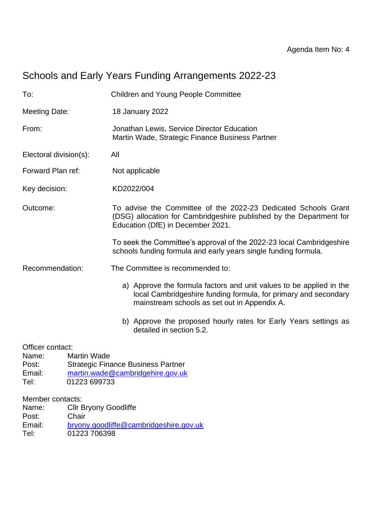# Schools and Early Years Funding Arrangements 2022-23

| To:                                                                                                                                                                         |                                       | <b>Children and Young People Committee</b>                                                                                                                                             |  |  |
|-----------------------------------------------------------------------------------------------------------------------------------------------------------------------------|---------------------------------------|----------------------------------------------------------------------------------------------------------------------------------------------------------------------------------------|--|--|
| <b>Meeting Date:</b>                                                                                                                                                        |                                       | 18 January 2022                                                                                                                                                                        |  |  |
| From:                                                                                                                                                                       |                                       | Jonathan Lewis, Service Director Education<br>Martin Wade, Strategic Finance Business Partner                                                                                          |  |  |
| Electoral division(s):                                                                                                                                                      |                                       | All                                                                                                                                                                                    |  |  |
| Forward Plan ref:                                                                                                                                                           |                                       | Not applicable                                                                                                                                                                         |  |  |
| Key decision:                                                                                                                                                               |                                       | KD2022/004                                                                                                                                                                             |  |  |
| Outcome:                                                                                                                                                                    |                                       | To advise the Committee of the 2022-23 Dedicated Schools Grant<br>(DSG) allocation for Cambridgeshire published by the Department for<br>Education (DfE) in December 2021.             |  |  |
|                                                                                                                                                                             |                                       | To seek the Committee's approval of the 2022-23 local Cambridgeshire<br>schools funding formula and early years single funding formula.                                                |  |  |
| Recommendation:                                                                                                                                                             |                                       | The Committee is recommended to:                                                                                                                                                       |  |  |
|                                                                                                                                                                             |                                       | a) Approve the formula factors and unit values to be applied in the<br>local Cambridgeshire funding formula, for primary and secondary<br>mainstream schools as set out in Appendix A. |  |  |
|                                                                                                                                                                             |                                       | b) Approve the proposed hourly rates for Early Years settings as<br>detailed in section 5.2.                                                                                           |  |  |
| Officer contact:<br><b>Martin Wade</b><br>Name:<br><b>Strategic Finance Business Partner</b><br>Post:<br>Email:<br>martin.wade@cambridgehire.gov.uk<br>Tel:<br>01223 699733 |                                       |                                                                                                                                                                                        |  |  |
| Member contacts:<br>Name:<br>Post:                                                                                                                                          | <b>Cllr Bryony Goodliffe</b><br>Chair |                                                                                                                                                                                        |  |  |

Email: [bryony.goodliffe@cambridgeshire.gov.uk](mailto:bryony.goodliffe@cambridgeshire.gov.uk)<br>Tel: 01223 706398 01223 706398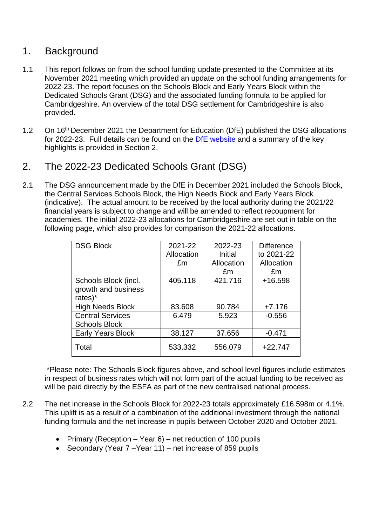#### 1. Background

- 1.1 This report follows on from the school funding update presented to the Committee at its November 2021 meeting which provided an update on the school funding arrangements for 2022-23. The report focuses on the Schools Block and Early Years Block within the Dedicated Schools Grant (DSG) and the associated funding formula to be applied for Cambridgeshire. An overview of the total DSG settlement for Cambridgeshire is also provided.
- 1.2 On 16<sup>th</sup> December 2021 the Department for Education (DfE) published the DSG allocations for 2022-23. Full details can be found on the [DfE website](https://www.gov.uk/government/publications/dedicated-schools-grant-dsg-2022-to-2023) and a summary of the key highlights is provided in Section 2.
- 2. The 2022-23 Dedicated Schools Grant (DSG)
- 2.1 The DSG announcement made by the DfE in December 2021 included the Schools Block, the Central Services Schools Block, the High Needs Block and Early Years Block (indicative). The actual amount to be received by the local authority during the 2021/22 financial years is subject to change and will be amended to reflect recoupment for academies. The initial 2022-23 allocations for Cambridgeshire are set out in table on the following page, which also provides for comparison the 2021-22 allocations.

| <b>DSG Block</b>         | 2021-22    | 2022-23    | <b>Difference</b> |
|--------------------------|------------|------------|-------------------|
|                          | Allocation | Initial    | to 2021-22        |
|                          | £m         | Allocation | Allocation        |
|                          |            | £m         | £m                |
| Schools Block (incl.     | 405.118    | 421.716    | $+16.598$         |
| growth and business      |            |            |                   |
| rates)*                  |            |            |                   |
| <b>High Needs Block</b>  | 83.608     | 90.784     | $+7.176$          |
| <b>Central Services</b>  | 6.479      | 5.923      | $-0.556$          |
| <b>Schools Block</b>     |            |            |                   |
| <b>Early Years Block</b> | 38.127     | 37.656     | $-0.471$          |
| Total                    | 533.332    | 556.079    | $+22.747$         |

\*Please note: The Schools Block figures above, and school level figures include estimates in respect of business rates which will not form part of the actual funding to be received as will be paid directly by the ESFA as part of the new centralised national process.

- 2.2 The net increase in the Schools Block for 2022-23 totals approximately £16.598m or 4.1%. This uplift is as a result of a combination of the additional investment through the national funding formula and the net increase in pupils between October 2020 and October 2021.
	- Primary (Reception Year 6) net reduction of 100 pupils
	- Secondary (Year 7 –Year 11) net increase of 859 pupils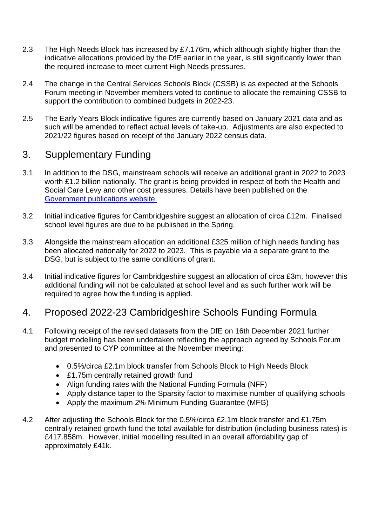- 2.3 The High Needs Block has increased by £7.176m, which although slightly higher than the indicative allocations provided by the DfE earlier in the year, is still significantly lower than the required increase to meet current High Needs pressures.
- 2.4 The change in the Central Services Schools Block (CSSB) is as expected at the Schools Forum meeting in November members voted to continue to allocate the remaining CSSB to support the contribution to combined budgets in 2022-23.
- 2.5 The Early Years Block indicative figures are currently based on January 2021 data and as such will be amended to reflect actual levels of take-up. Adjustments are also expected to 2021/22 figures based on receipt of the January 2022 census data.

## 3. Supplementary Funding

- 3.1 In addition to the DSG, mainstream schools will receive an additional grant in 2022 to 2023 worth £1.2 billion nationally. The grant is being provided in respect of both the Health and Social Care Levy and other cost pressures. Details have been published on the [Government publications website.](https://www.gov.uk/government/publications/schools-supplementary-grant-2022-to-2023)
- 3.2 Initial indicative figures for Cambridgeshire suggest an allocation of circa £12m. Finalised school level figures are due to be published in the Spring.
- 3.3 Alongside the mainstream allocation an additional £325 million of high needs funding has been allocated nationally for 2022 to 2023. This is payable via a separate grant to the DSG, but is subject to the same conditions of grant.
- 3.4 Initial indicative figures for Cambridgeshire suggest an allocation of circa £3m, however this additional funding will not be calculated at school level and as such further work will be required to agree how the funding is applied.

#### 4. Proposed 2022-23 Cambridgeshire Schools Funding Formula

- 4.1 Following receipt of the revised datasets from the DfE on 16th December 2021 further budget modelling has been undertaken reflecting the approach agreed by Schools Forum and presented to CYP committee at the November meeting:
	- 0.5%/circa £2.1m block transfer from Schools Block to High Needs Block
	- £1.75m centrally retained growth fund
	- Align funding rates with the National Funding Formula (NFF)
	- Apply distance taper to the Sparsity factor to maximise number of qualifying schools
	- Apply the maximum 2% Minimum Funding Guarantee (MFG)
- 4.2 After adjusting the Schools Block for the 0.5%/circa £2.1m block transfer and £1.75m centrally retained growth fund the total available for distribution (including business rates) is £417.858m. However, initial modelling resulted in an overall affordability gap of approximately £41k.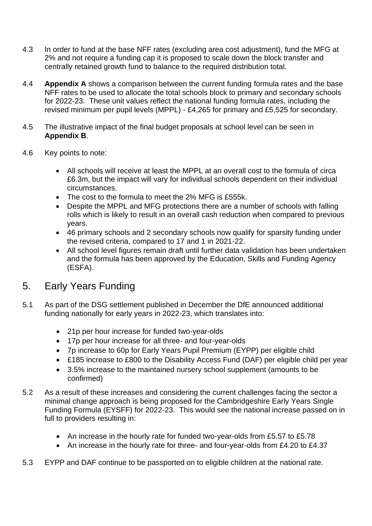- 4.3 In order to fund at the base NFF rates (excluding area cost adjustment), fund the MFG at 2% and not require a funding cap it is proposed to scale down the block transfer and centrally retained growth fund to balance to the required distribution total.
- 4.4 **Appendix A** shows a comparison between the current funding formula rates and the base NFF rates to be used to allocate the total schools block to primary and secondary schools for 2022-23. These unit values reflect the national funding formula rates, including the revised minimum per pupil levels (MPPL) - £4,265 for primary and £5,525 for secondary.
- 4.5 The illustrative impact of the final budget proposals at school level can be seen in **Appendix B**.
- 4.6 Key points to note:
	- All schools will receive at least the MPPL at an overall cost to the formula of circa £6.3m, but the impact will vary for individual schools dependent on their individual circumstances.
	- The cost to the formula to meet the 2% MFG is £555k.
	- Despite the MPPL and MFG protections there are a number of schools with falling rolls which is likely to result in an overall cash reduction when compared to previous years.
	- 46 primary schools and 2 secondary schools now qualify for sparsity funding under the revised criteria, compared to 17 and 1 in 2021-22.
	- All school level figures remain draft until further data validation has been undertaken and the formula has been approved by the Education, Skills and Funding Agency (ESFA).

#### 5. Early Years Funding

- 5.1 As part of the DSG settlement published in December the DfE announced additional funding nationally for early years in 2022-23, which translates into:
	- 21p per hour increase for funded two-year-olds
	- 17p per hour increase for all three- and four-year-olds
	- 7p increase to 60p for Early Years Pupil Premium (EYPP) per eligible child
	- £185 increase to £800 to the Disability Access Fund (DAF) per eligible child per year
	- 3.5% increase to the maintained nursery school supplement (amounts to be confirmed)
- 5.2 As a result of these increases and considering the current challenges facing the sector a minimal change approach is being proposed for the Cambridgeshire Early Years Single Funding Formula (EYSFF) for 2022-23. This would see the national increase passed on in full to providers resulting in:
	- An increase in the hourly rate for funded two-year-olds from £5.57 to £5.78
	- An increase in the hourly rate for three- and four-year-olds from £4.20 to £4.37
- 5.3 EYPP and DAF continue to be passported on to eligible children at the national rate.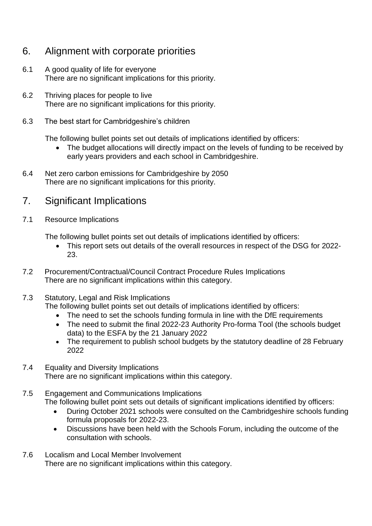## 6. Alignment with corporate priorities

- 6.1 A good quality of life for everyone There are no significant implications for this priority.
- 6.2 Thriving places for people to live There are no significant implications for this priority.
- 6.3 The best start for Cambridgeshire's children

The following bullet points set out details of implications identified by officers:

- The budget allocations will directly impact on the levels of funding to be received by early years providers and each school in Cambridgeshire.
- 6.4 Net zero carbon emissions for Cambridgeshire by 2050 There are no significant implications for this priority.

#### 7. Significant Implications

7.1 Resource Implications

The following bullet points set out details of implications identified by officers:

- This report sets out details of the overall resources in respect of the DSG for 2022- 23.
- 7.2 Procurement/Contractual/Council Contract Procedure Rules Implications There are no significant implications within this category.
- 7.3 Statutory, Legal and Risk Implications

The following bullet points set out details of implications identified by officers:

- The need to set the schools funding formula in line with the DfE requirements
- The need to submit the final 2022-23 Authority Pro-forma Tool (the schools budget data) to the ESFA by the 21 January 2022
- The requirement to publish school budgets by the statutory deadline of 28 February 2022
- 7.4 Equality and Diversity Implications There are no significant implications within this category.
- 7.5 Engagement and Communications Implications The following bullet point sets out details of significant implications identified by officers:
	- During October 2021 schools were consulted on the Cambridgeshire schools funding formula proposals for 2022-23.
	- Discussions have been held with the Schools Forum, including the outcome of the consultation with schools.
- 7.6 Localism and Local Member Involvement There are no significant implications within this category.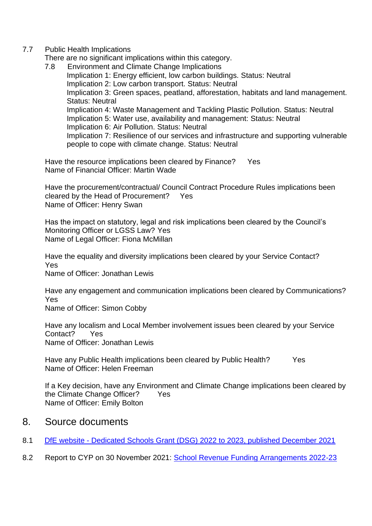#### 7.7 Public Health Implications

There are no significant implications within this category.

7.8 Environment and Climate Change Implications Implication 1: Energy efficient, low carbon buildings. Status: Neutral Implication 2: Low carbon transport. Status: Neutral Implication 3: Green spaces, peatland, afforestation, habitats and land management. Status: Neutral Implication 4: Waste Management and Tackling Plastic Pollution. Status: Neutral Implication 5: Water use, availability and management: Status: Neutral Implication 6: Air Pollution. Status: Neutral Implication 7: Resilience of our services and infrastructure and supporting vulnerable people to cope with climate change. Status: Neutral

Have the resource implications been cleared by Finance? Yes Name of Financial Officer: Martin Wade

Have the procurement/contractual/ Council Contract Procedure Rules implications been cleared by the Head of Procurement? Yes Name of Officer: Henry Swan

Has the impact on statutory, legal and risk implications been cleared by the Council's Monitoring Officer or LGSS Law? Yes Name of Legal Officer: Fiona McMillan

Have the equality and diversity implications been cleared by your Service Contact? Yes

Name of Officer: Jonathan Lewis

Have any engagement and communication implications been cleared by Communications? Yes

Name of Officer: Simon Cobby

Have any localism and Local Member involvement issues been cleared by your Service Contact? Yes Name of Officer: Jonathan Lewis

Have any Public Health implications been cleared by Public Health? Yes Name of Officer: Helen Freeman

If a Key decision, have any Environment and Climate Change implications been cleared by the Climate Change Officer? Yes Name of Officer: Emily Bolton

#### 8. Source documents

- 8.1 DfE website [Dedicated Schools Grant \(DSG\) 2022 to 2023, published December 2021](https://www.gov.uk/government/publications/dedicated-schools-grant-dsg-2022-to-2023)
- 8.2 Report to CYP on 30 November 2021: [School Revenue Funding Arrangements 2022-23](https://cambridgeshire.cmis.uk.com/CCC_live/Document.ashx?czJKcaeAi5tUFL1DTL2UE4zNRBcoShgo=Ixohm5dzDepIc2B8bGypGGg%2fVk7sDqBGZr6w7oAZ4iRyuJ5UQiv3Gw%3d%3d&rUzwRPf%2bZ3zd4E7Ikn8Lyw%3d%3d=pwRE6AGJFLDNlh225F5QMaQWCtPHwdhUfCZ%2fLUQzgA2uL5jNRG4jdQ%3d%3d&mCTIbCubSFfXsDGW9IXnlg%3d%3d=hFflUdN3100%3d&kCx1AnS9%2fpWZQ40DXFvdEw%3d%3d=hFflUdN3100%3d&uJovDxwdjMPoYv%2bAJvYtyA%3d%3d=ctNJFf55vVA%3d&FgPlIEJYlotS%2bYGoBi5olA%3d%3d=NHdURQburHA%3d&d9Qjj0ag1Pd993jsyOJqFvmyB7X0CSQK=ctNJFf55vVA%3d&WGewmoAfeNR9xqBux0r1Q8Za60lavYmz=ctNJFf55vVA%3d&WGewmoAfeNQ16B2MHuCpMRKZMwaG1PaO=ctNJFf55vVA%3d)